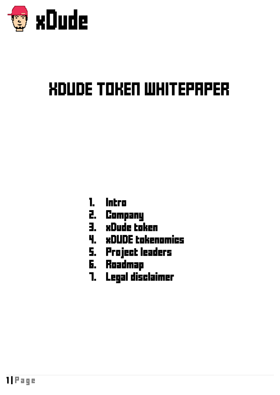

# XDUDE TOKEN WHITEPAPER

- 1. Intro
- 2. Company
- 3. xDude token
- 4. xDUDE tokenomics
- 5. Project leaders
- 6. Roadmap
- 7. Legal disclaimer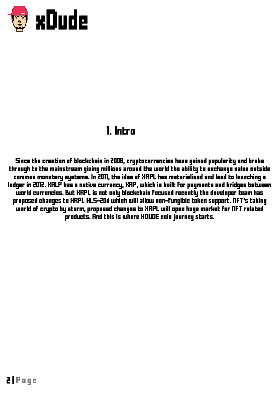

#### 1. Intro

Since the creation of blockchain in 2008, cryptocurrencies have gained popularity and broke through to the mainstream giving millions around the world the ability to exchange value outside common monetary systems. In 2011, the idea of XRPL has materialised and lead to launching a ledger in 2012. XRLP has a native currency, XRP, which is built for payments and bridges between world currencies. But XRPL is not only blockchain focused recently the developer team has proposed changes to XRPL XLS-20d which will allow non-fungible token support. NFT's taking world of crypto by storm, proposed changes to XRPL will open huge market for NFT related products. And this is where XDUDE coin journey starts.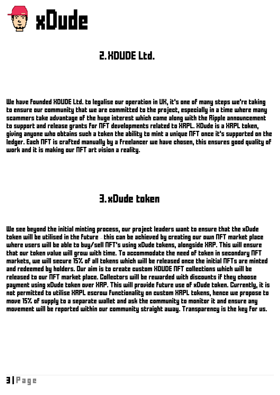

## 2. XDUDE Ltd.

We have founded XDUDE Ltd. to legalise our operation in UK, it's one of many steps we're taking to ensure our community that we are committed to the project, especially in a time where many scammers take advantage of the huge interest which came along with the Ripple announcement to support and release grants for NFT developments related to XRPL. XDude is a XRPL token, giving anyone who obtains such a token the ability to mint a unique NFT once it's supported on the ledger. Each NFT is crafted manually by a freelancer we have chosen, this ensures good quality of work and it is making our NFT art vision a reality.

#### 3.xDude token

We see beyond the initial minting process, our project leaders want to ensure that the xDude token will be utilised in the future – this can be achieved by creating our own NFT market place where users will be able to buy/sell NFT's using xDude tokens, alongside XRP. This will ensure that our token value will grow with time. To accommodate the need of token in secondary NFT markets, we will secure 15% of all tokens which will be released once the initial NFTs are minted and redeemed by holders. Our aim is to create custom XDUDE NFT collections which will be released to our  $\bar{\Pi}$ FT market place. Collectors will be rewarded with discounts if they choose payment using xDude token over XRP. This will provide future use of xDude token. Currently, it is not permitted to utilise XRPL escrow functionality on custom XRPL tokens, hence we propose to move 15% of supply to a separate wallet and ask the community to monitor it and ensure any movement will be reported within our community straight away. Transparency is the key for us.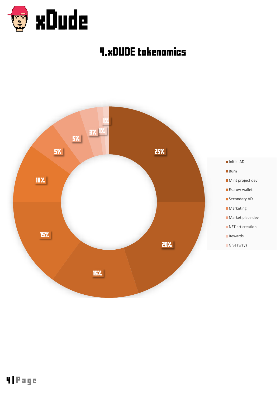

## 4.xDUDE tokenomics

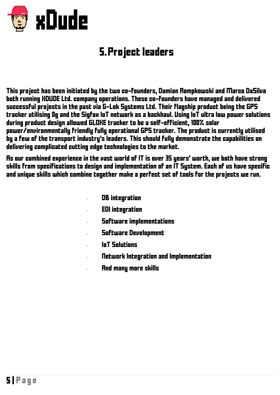

### 5. Project leaders

This project has been initiated by the two co-founders, Damian Rompkowski and Marco DaSilva both running XDUDE Ltd. company operations. These co-founders have managed and delivered successful projects in the past via G-Lok Systems Ltd. Their flagship product being the GPS tracker utilising 0g and the Sigfox IoT network as a backhaul. Using IoT ultra low power solutions during product design allowed GLOKE tracker to be a self-efficient, 100% solar power/environmentally friendly fully operational GPS tracker. The product is currently utilised by a few of the transport industry's leaders. This should fully demonstrate the capabilities on delivering complicated cutting edge technologies to the market.

As our combined experience in the vast world of IT is over 35 years' worth, we both have strong skills from specifications to design and implementation of an IT System. Each of us have specific and unique skills which combine together make a perfect set of tools for the projects we run.

- DB integration
- · EDI integration
- · Software implementations
- · Software Development
- · IoT Solutions
	- · Network Integration and Implementation
- · And many more skills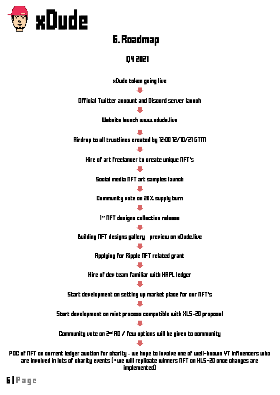

#### 6. Roadmap

#### Q4 2021

xDude token going live

Official Twitter account and Discord server launch

Website launch www.xdude.live

Airdrop to all trustlines created by 12:00 12/10/21 GTM

Hire of art freelancer to create unique NFT's

Social media NFT art samples launch

Community vote on 20% supply burn

1 st NFT designs collection release

Building NFT designs gallery – preview on xDude.live

Applying for Ripple NFT related grant

Hire of dev team familiar with XRPL ledger

Start development on setting up market place for our NFT's

Start development on mint process compatible with XLS-20 proposal

Community vote on 2nd AD / few options will be given to community

POC of NFT on current ledger auction for charity – we hope to involve one of well-known YT influencers who are involved in lots of charity events ( $*$ we will replicate winners NFT on XLS-20 once changes are implemented)